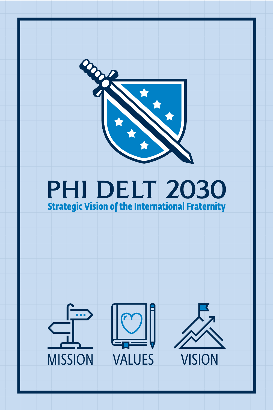

#### **PHI DELT 2030 Strategic Vision of the International Fraternity**

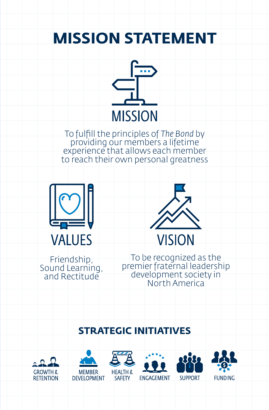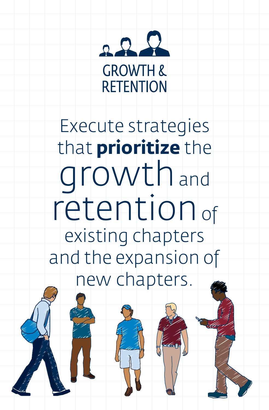

Execute strategies that **prioritize** the growthand retention of existing chapters and the expansion of new chapters.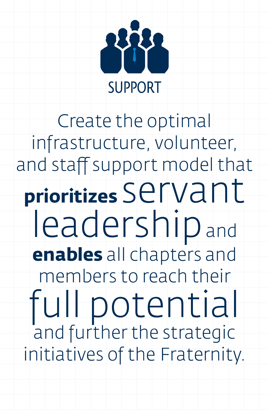

Create the optimal infrastructure, volunteer, and staff support model that **prioritizes** Servant leadership and **enables** all chapters and members to reach their full potential and further the strategic initiatives of the Fraternity.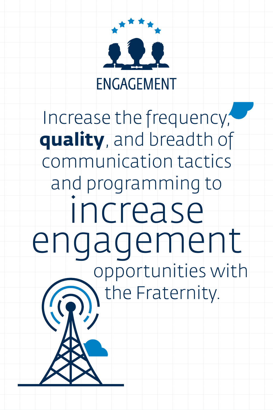

### Increase the frequency, **quality**, and breadth of communication tactics and programming to increase engagement opportunities with the Fraternity.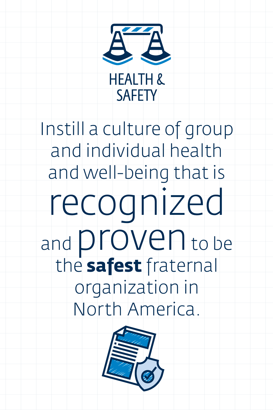

Instill a culture of group and individual health and well-being that is recognized and **proven** to be the **safest** fraternal organization in North America.

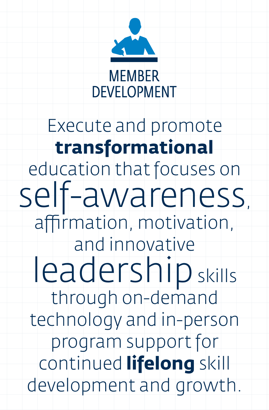

#### Execute and promote **transformational** education that focuses on self-awareness, affirmation, motivation, and innovative leadership skills through on-demand technology and in-person program support for continued **lifelong** skill development and growth.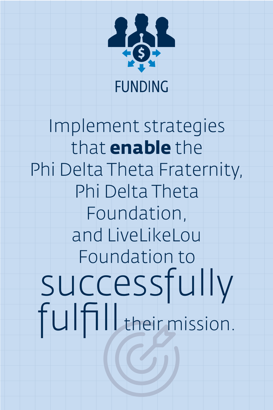

Implement strategies that **enable** the Phi Delta Theta Fraternity, Phi Delta Theta Foundation, and LiveLikeLou Foundation to successfully<br>fulfill their mission.